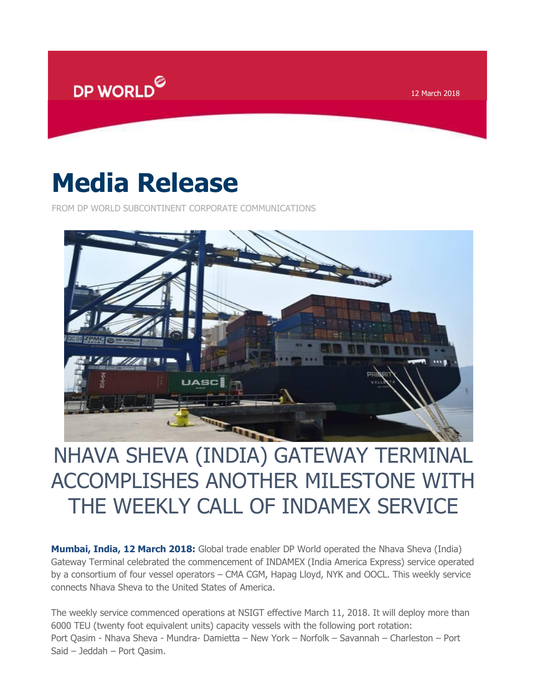

12 March 2018

## **Media Release**

FROM DP WORLD SUBCONTINENT CORPORATE COMMUNICATIONS



## NHAVA SHEVA (INDIA) GATEWAY TERMINAL ACCOMPLISHES ANOTHER MILESTONE WITH THE WEEKLY CALL OF INDAMEX SERVICE

**Mumbai, India, 12 March 2018:** Global trade enabler DP World operated the Nhava Sheva (India) Gateway Terminal celebrated the commencement of INDAMEX (India America Express) service operated by a consortium of four vessel operators – CMA CGM, Hapag Lloyd, NYK and OOCL. This weekly service connects Nhava Sheva to the United States of America.

The weekly service commenced operations at NSIGT effective March 11, 2018. It will deploy more than 6000 TEU (twenty foot equivalent units) capacity vessels with the following port rotation: Port Qasim - Nhava Sheva - Mundra- Damietta – New York – Norfolk – Savannah – Charleston – Port Said – Jeddah – Port Qasim.